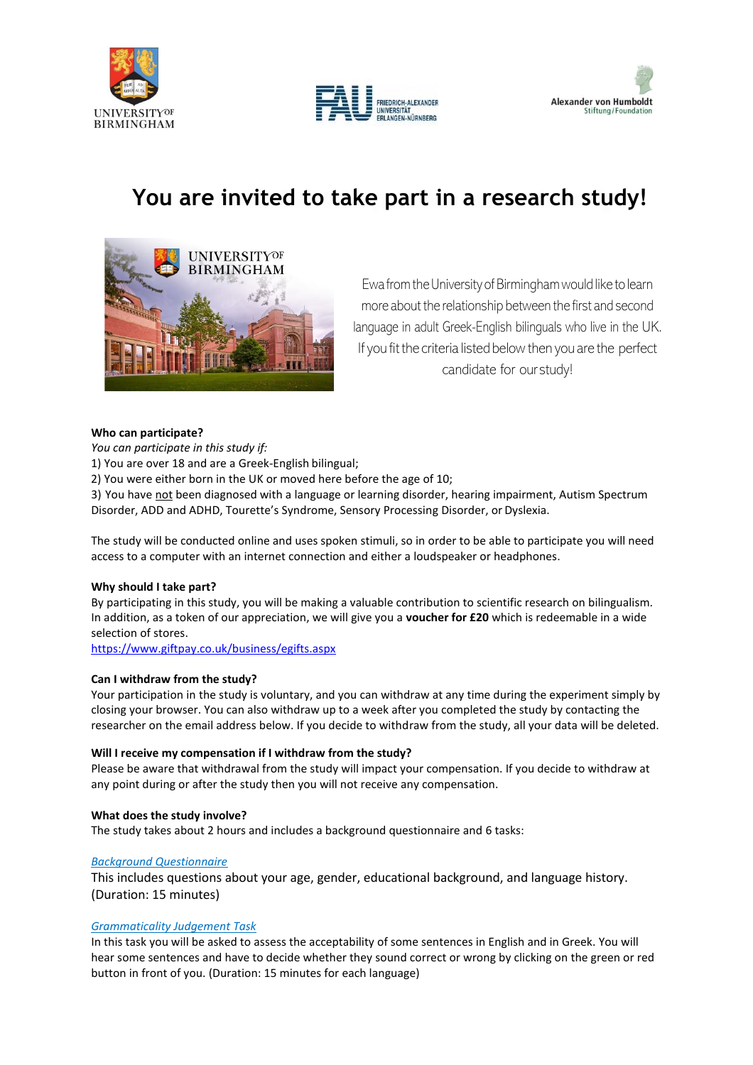





# **You are invited to take part in a research study!**



Ewa from the University of Birmingham would like to learn more about the relationship between the first and second language in adult Greek-English bilinguals who live in the UK. If you fit the criteria listed below then you are the perfect candidate for our study!

## **Who can participate?**

*You can participate in this study if:*

1) You are over 18 and are a Greek-English bilingual;

2) You were either born in the UK or moved here before the age of 10;

3) You have not been diagnosed with a language or learning disorder, hearing impairment, Autism Spectrum Disorder, ADD and ADHD, Tourette's Syndrome, Sensory Processing Disorder, or Dyslexia.

The study will be conducted online and uses spoken stimuli, so in order to be able to participate you will need access to a computer with an internet connection and either a loudspeaker or headphones.

## **Why should I take part?**

By participating in this study, you will be making a valuable contribution to scientific research on bilingualism. In addition, as a token of our appreciation, we will give you a **voucher for £20** which is redeemable in a wide selection of stores.

<https://www.giftpay.co.uk/business/egifts.aspx>

## **Can I withdraw from the study?**

Your participation in the study is voluntary, and you can withdraw at any time during the experiment simply by closing your browser. You can also withdraw up to a week after you completed the study by contacting the researcher on the email address below. If you decide to withdraw from the study, all your data will be deleted.

## **Will I receive my compensation if I withdraw from the study?**

Please be aware that withdrawal from the study will impact your compensation. If you decide to withdraw at any point during or after the study then you will not receive any compensation.

## **What does the study involve?**

The study takes about 2 hours and includes a background questionnaire and 6 tasks:

## *Background Questionnaire*

This includes questions about your age, gender, educational background, and language history. (Duration: 15 minutes)

## *Grammaticality Judgement Task*

In this task you will be asked to assess the acceptability of some sentences in English and in Greek. You will hear some sentences and have to decide whether they sound correct or wrong by clicking on the green or red button in front of you. (Duration: 15 minutes for each language)